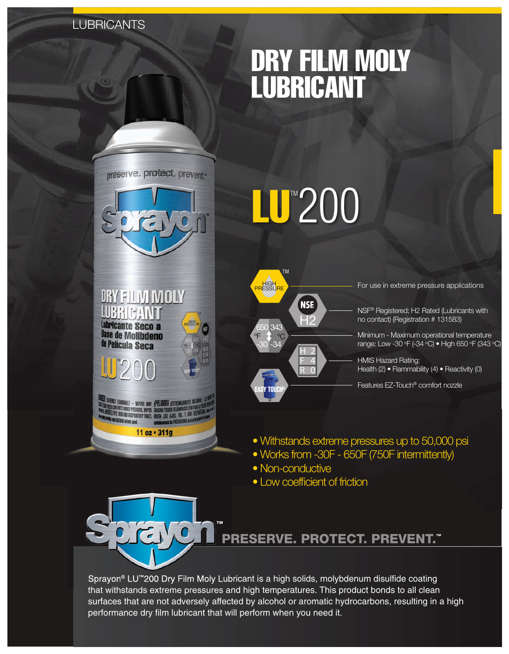# **LUBRICANTS**

# dry film moly lubricant





*DRY FILM MOLY* 

**RIPANTI** 

**RAMMABLE - VAPORS MAY |PELIGRO! (EXT)** UNDER PRESSURE. VAPOR

11 oz · 311g

Lubricante Seco a **Base de Molibdeno** de Película Seca



H2

**NSE** 

H 2 F 4 R 0

TM

ºF ºC  $-30 - 34$ 650 343 <mark>H</mark>IGH<br>PRESSURE

For use in extreme pressure applications

NSF® Registered; H2 Rated (Lubricants with no contact) (Registration # 131583)

Minimum - Maximum operational temperature range: Low -30 °F (-34 °C) • High 650 °F (343 °C)

HMIS Hazard Rating: Health (2) • Flammability (4) • Reactivity (0)

Features EZ-Touch® comfort nozzle

- Withstands extreme pressures up to 50,000 psi
- Works from -30F 650F (750F intermittently)
- Non-conductive

EASY TOUCH®

• Low coefficient of friction



# PRESERVE. PROTECT. PREVENT. ™

Sprayon® LU™200 Dry Film Moly Lubricant is a high solids, molybdenum disulfide coating that withstands extreme pressures and high temperatures. This product bonds to all clean surfaces that are not adversely affected by alcohol or aromatic hydrocarbons, resulting in a high performance dry film lubricant that will perform when you need it.